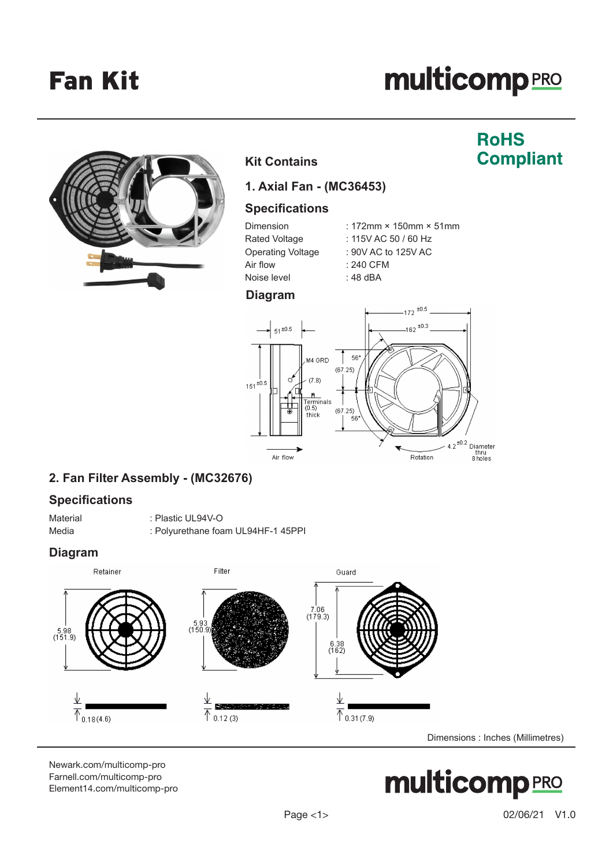Fan Kit

# **multicomp**PRO



### **Kit Contains**

### **RoHS Compliant**

**1. Axial Fan - (MC36453)**

### **Specifications**

| Dimension         | : 172mm $\times$ 150mm $\times$ 51mm |
|-------------------|--------------------------------------|
| Rated Voltage     | : 115V AC 50 / 60 Hz                 |
| Operating Voltage | : 90V AC to 125V AC                  |
| Air flow          | : 240 CFM                            |
| Noise level       | : 48 dBA                             |
|                   |                                      |

### **Diagram**



### **2. Fan Filter Assembly - (MC32676)**

### **Specifications**

Material : Plastic UL94V-O Media : Polyurethane foam UL94HF-1 45PPI

### **Diagram**



[Newark.com/multicomp-](https://www.newark.com/multicomp-pro)pro [Farnell.com/multicomp](https://www.farnell.com/multicomp-pro)-pro [Element14.com/multicomp-pro](https://element14.com/multicomp-pro)

# multicompRRO